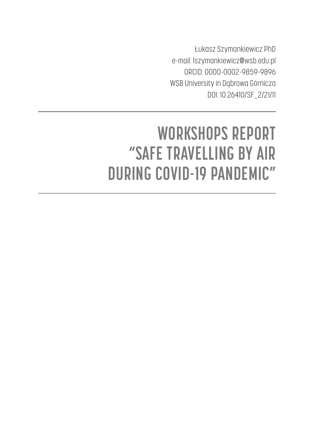Łukasz Szymankiewicz PhD e-mail: lszymankiewicz@wsb.edu.pl ORCID: 0000-0002-9859-9896 WSB University in Dąbrowa Górnicza DOI: 10.26410/SF\_2/21/11

## **WORKSHOPS REPORT "SAFE TRAVELLING BY AIR DURING COVID-19 PANDEMIC"**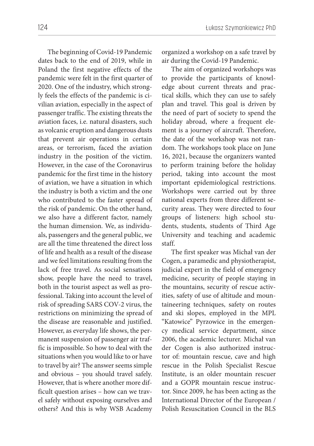air during the Covid-19 Pandemic.

The beginning of Covid-19 Pandemic dates back to the end of 2019, while in Poland the first negative effects of the pandemic were felt in the first quarter of 2020. One of the industry, which strongly feels the effects of the pandemic is civilian aviation, especially in the aspect of passenger traffic. The existing threats the aviation faces, i.e. natural disasters, such as volcanic eruption and dangerous dusts that prevent air operations in certain areas, or terrorism, faced the aviation industry in the position of the victim. However, in the case of the Coronavirus pandemic for the first time in the history of aviation, we have a situation in which the industry is both a victim and the one who contributed to the faster spread of the risk of pandemic. On the other hand, we also have a different factor, namely the human dimension. We, as individuals, passengers and the general public, we are all the time threatened the direct loss of life and health as a result of the disease and we feel limitations resulting from the lack of free travel. As social sensations show, people have the need to travel, both in the tourist aspect as well as professional. Taking into account the level of risk of spreading SARS COV-2 virus, the restrictions on minimizing the spread of the disease are reasonable and justified. However, as everyday life shows, the permanent suspension of passenger air traffic is impossible. So how to deal with the situations when you would like to or have to travel by air? The answer seems simple and obvious – you should travel safely. However, that is where another more difficult question arises – how can we travel safely without exposing ourselves and others? And this is why WSB Academy

The aim of organized workshops was to provide the participants of knowledge about current threats and practical skills, which they can use to safely plan and travel. This goal is driven by the need of part of society to spend the holiday abroad, where a frequent element is a journey of aircraft. Therefore, the date of the workshop was not random. The workshops took place on June 16, 2021, because the organizers wanted to perform training before the holiday period, taking into account the most important epidemiological restrictions. Workshops were carried out by three national experts from three different security areas. They were directed to four groups of listeners: high school students, students, students of Third Age University and teaching and academic staff.

The first speaker was Michał van der Cogen, a paramedic and physiotherapist, judicial expert in the field of emergency medicine, security of people staying in the mountains, security of rescue activities, safety of use of altitude and mountaineering techniques, safety on routes and ski slopes, employed in the MPL "Katowice" Pyrzowice in the emergency medical service department, since 2006, the academic lecturer. Michał van der Cogen is also authorized instructor of: mountain rescue, cave and high rescue in the Polish Specialist Rescue Institute, is an older mountain rescuer and a GOPR mountain rescue instructor. Since 2009, he has been acting as the International Director of the European / Polish Resuscitation Council in the BLS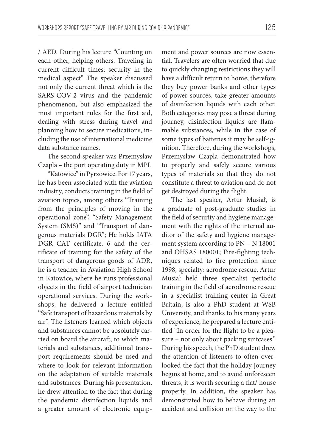/ AED. During his lecture "Counting on each other, helping others. Traveling in current difficult times, security in the medical aspect" The speaker discussed not only the current threat which is the SARS-COV-2 virus and the pandemic phenomenon, but also emphasized the most important rules for the first aid, dealing with stress during travel and planning how to secure medications, including the use of international medicine data substance names.

The second speaker was Przemysław Czapla – the port operating duty in MPL

"Katowice" in Pyrzowice. For 17 years, he has been associated with the aviation industry, conducts training in the field of aviation topics, among others "Training from the principles of moving in the operational zone", "Safety Management System (SMS)" and "Transport of dangerous materials DGR"; He holds IATA DGR CAT certificate. 6 and the certificate of training for the safety of the transport of dangerous goods of ADR, he is a teacher in Avaiation High School in Katowice, where he runs professional objects in the field of airport technician operational services. During the workshops, he delivered a lecture entitled "Safe transport of hazardous materials by air". The listeners learned which objects and substances cannot be absolutely carried on board the aircraft, to which materials and substances, additional transport requirements should be used and where to look for relevant information on the adaptation of suitable materials and substances. During his presentation, he drew attention to the fact that during the pandemic disinfection liquids and a greater amount of electronic equipment and power sources are now essential. Travelers are often worried that due to quickly changing restrictions they will have a difficult return to home, therefore they buy power banks and other types of power sources, take greater amounts of disinfection liquids with each other. Both categories may pose a threat during journey, disinfection liquids are flammable substances, while in the case of some types of batteries it may be self-ignition. Therefore, during the workshops, Przemysław Czapla demonstrated how to properly and safely secure various types of materials so that they do not constitute a threat to aviation and do not get destroyed during the flight.

The last speaker, Artur Musiał, is a graduate of post-graduate studies in the field of security and hygiene management with the rights of the internal auditor of the safety and hygiene management system according to PN – N 18001 and OHSAS 180001; Fire-fighting techniques related to fire protection since 1998, specialty: aerodrome rescue. Artur Musiał held three specialist periodic training in the field of aerodrome rescue in a specialist training center in Great Britain, is also a PhD student at WSB University, and thanks to his many years of experience, he prepared a lecture entitled "In order for the flight to be a pleasure – not only about packing suitcases." During his speech, the PhD student drew the attention of listeners to often overlooked the fact that the holiday journey begins at home, and to avoid unforeseen threats, it is worth securing a flat/ house properly. In addition, the speaker has demonstrated how to behave during an accident and collision on the way to the